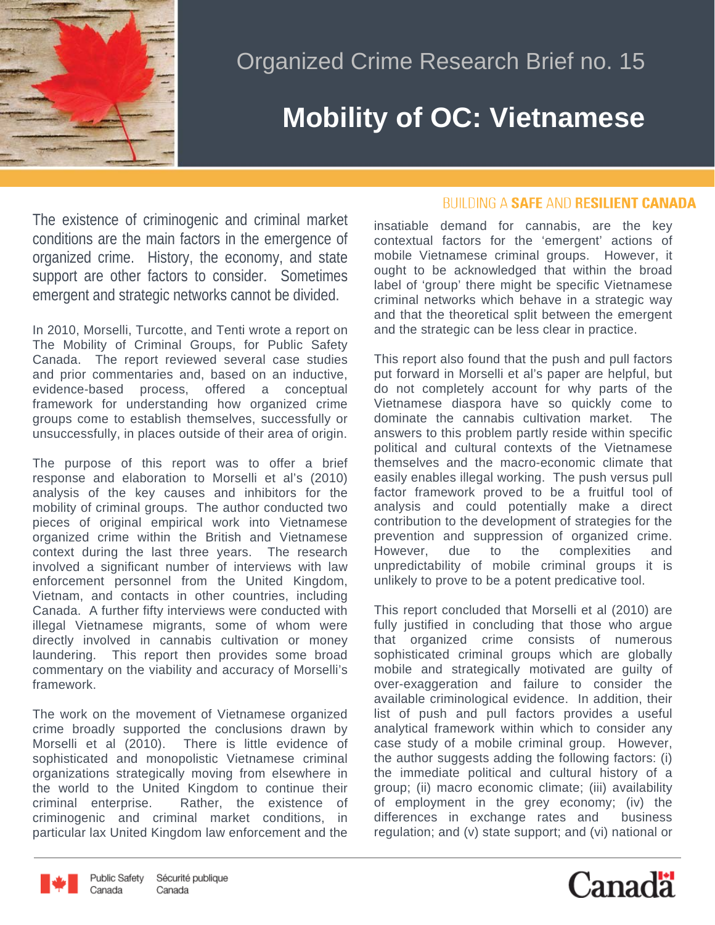

## Organized Crime Research Brief no. 15

## **Mobility of OC: Vietnamese**

The existence of criminogenic and criminal market conditions are the main factors in the emergence of organized crime. History, the economy, and state support are other factors to consider. Sometimes emergent and strategic networks cannot be divided.

In 2010, Morselli, Turcotte, and Tenti wrote a report on The Mobility of Criminal Groups, for Public Safety Canada. The report reviewed several case studies and prior commentaries and, based on an inductive, evidence-based process, offered a conceptual framework for understanding how organized crime groups come to establish themselves, successfully or unsuccessfully, in places outside of their area of origin.

The purpose of this report was to offer a brief response and elaboration to Morselli et al's (2010) analysis of the key causes and inhibitors for the mobility of criminal groups. The author conducted two pieces of original empirical work into Vietnamese organized crime within the British and Vietnamese context during the last three years. The research involved a significant number of interviews with law enforcement personnel from the United Kingdom, Vietnam, and contacts in other countries, including Canada. A further fifty interviews were conducted with illegal Vietnamese migrants, some of whom were directly involved in cannabis cultivation or money laundering. This report then provides some broad commentary on the viability and accuracy of Morselli's framework.

The work on the movement of Vietnamese organized crime broadly supported the conclusions drawn by Morselli et al (2010). There is little evidence of sophisticated and monopolistic Vietnamese criminal organizations strategically moving from elsewhere in the world to the United Kingdom to continue their criminal enterprise. Rather, the existence of criminogenic and criminal market conditions, in particular lax United Kingdom law enforcement and the

## **BUILDING A SAFE AND RESILIENT CANADA**

insatiable demand for cannabis, are the key contextual factors for the 'emergent' actions of mobile Vietnamese criminal groups. However, it ought to be acknowledged that within the broad label of 'group' there might be specific Vietnamese criminal networks which behave in a strategic way and that the theoretical split between the emergent and the strategic can be less clear in practice.

This report also found that the push and pull factors put forward in Morselli et al's paper are helpful, but do not completely account for why parts of the Vietnamese diaspora have so quickly come to dominate the cannabis cultivation market. The answers to this problem partly reside within specific political and cultural contexts of the Vietnamese themselves and the macro-economic climate that easily enables illegal working. The push versus pull factor framework proved to be a fruitful tool of analysis and could potentially make a direct contribution to the development of strategies for the prevention and suppression of organized crime. However, due to the complexities and unpredictability of mobile criminal groups it is unlikely to prove to be a potent predicative tool.

This report concluded that Morselli et al (2010) are fully justified in concluding that those who arque that organized crime consists of numerous sophisticated criminal groups which are globally mobile and strategically motivated are guilty of over-exaggeration and failure to consider the available criminological evidence. In addition, their list of push and pull factors provides a useful analytical framework within which to consider any case study of a mobile criminal group. However, the author suggests adding the following factors: (i) the immediate political and cultural history of a group; (ii) macro economic climate; (iii) availability of employment in the grey economy; (iv) the differences in exchange rates and business regulation; and (v) state support; and (vi) national or